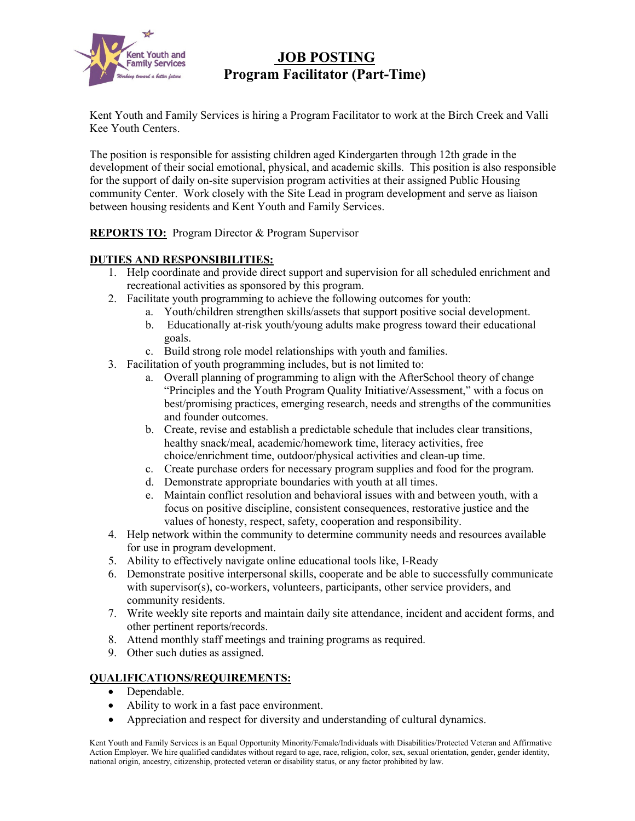

# **JOB POSTING Program Facilitator (Part-Time)**

Kent Youth and Family Services is hiring a Program Facilitator to work at the Birch Creek and Valli Kee Youth Centers.

The position is responsible for assisting children aged Kindergarten through 12th grade in the development of their social emotional, physical, and academic skills. This position is also responsible for the support of daily on-site supervision program activities at their assigned Public Housing community Center. Work closely with the Site Lead in program development and serve as liaison between housing residents and Kent Youth and Family Services.

**REPORTS TO:** Program Director & Program Supervisor

# **DUTIES AND RESPONSIBILITIES:**

- 1. Help coordinate and provide direct support and supervision for all scheduled enrichment and recreational activities as sponsored by this program.
- 2. Facilitate youth programming to achieve the following outcomes for youth:
	- a. Youth/children strengthen skills/assets that support positive social development.
	- b. Educationally at-risk youth/young adults make progress toward their educational goals.
	- c. Build strong role model relationships with youth and families.
- 3. Facilitation of youth programming includes, but is not limited to:
	- a. Overall planning of programming to align with the AfterSchool theory of change "Principles and the Youth Program Quality Initiative/Assessment," with a focus on best/promising practices, emerging research, needs and strengths of the communities and founder outcomes.
	- b. Create, revise and establish a predictable schedule that includes clear transitions, healthy snack/meal, academic/homework time, literacy activities, free choice/enrichment time, outdoor/physical activities and clean-up time.
	- c. Create purchase orders for necessary program supplies and food for the program.
	- d. Demonstrate appropriate boundaries with youth at all times.
	- e. Maintain conflict resolution and behavioral issues with and between youth, with a focus on positive discipline, consistent consequences, restorative justice and the values of honesty, respect, safety, cooperation and responsibility.
- 4. Help network within the community to determine community needs and resources available for use in program development.
- 5. Ability to effectively navigate online educational tools like, I-Ready
- 6. Demonstrate positive interpersonal skills, cooperate and be able to successfully communicate with supervisor(s), co-workers, volunteers, participants, other service providers, and community residents.
- 7. Write weekly site reports and maintain daily site attendance, incident and accident forms, and other pertinent reports/records.
- 8. Attend monthly staff meetings and training programs as required.
- 9. Other such duties as assigned.

# **QUALIFICATIONS/REQUIREMENTS:**

- Dependable.
- Ability to work in a fast pace environment.
- Appreciation and respect for diversity and understanding of cultural dynamics.

Kent Youth and Family Services is an Equal Opportunity Minority/Female/Individuals with Disabilities/Protected Veteran and Affirmative Action Employer. We hire qualified candidates without regard to age, race, religion, color, sex, sexual orientation, gender, gender identity, national origin, ancestry, citizenship, protected veteran or disability status, or any factor prohibited by law.